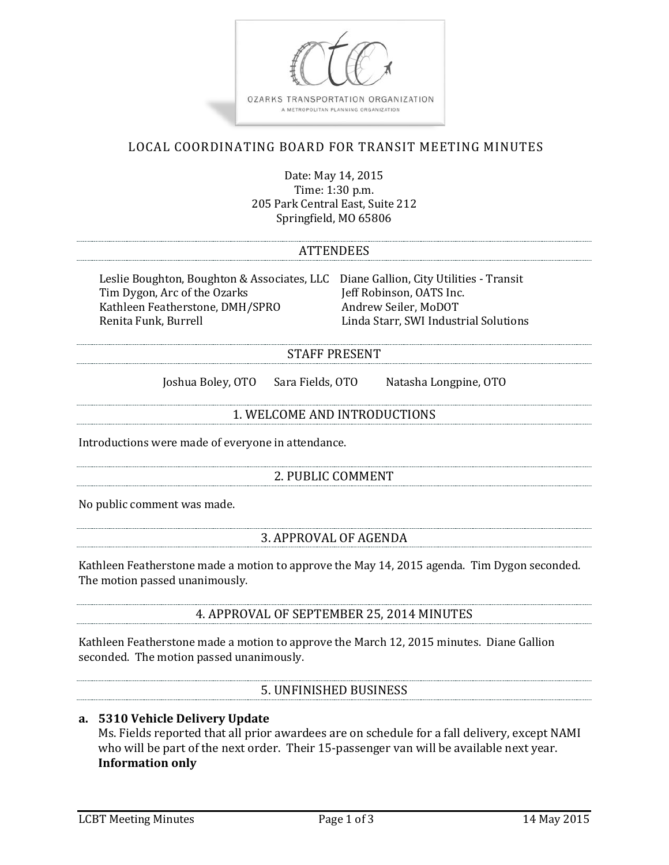

# LOCAL COORDINATING BOARD FOR TRANSIT MEETING MINUTES

Date: May 14, 2015 Time: 1:30 p.m. 205 Park Central East, Suite 212 Springfield, MO 65806

## ATTENDEES

Leslie Boughton, Boughton & Associates, LLC Diane Gallion, City Utilities - Transit<br>Tim Dygon, Arc of the Ozarks Jeff Robinson, OATS Inc. Tim Dygon, Arc of the Ozarks Jeff Robinson, OATS Inc.<br>Kathleen Featherstone, DMH/SPRO Andrew Seiler, MoDOT Kathleen Featherstone, DMH/SPRO<br>Renita Funk. Burrell

Linda Starr, SWI Industrial Solutions

## STAFF PRESENT

Joshua Boley, OTO Sara Fields, OTO Natasha Longpine, OTO

#### 1. WELCOME AND INTRODUCTIONS

Introductions were made of everyone in attendance.

## 2. PUBLIC COMMENT

No public comment was made.

#### 3. APPROVAL OF AGENDA

Kathleen Featherstone made a motion to approve the May 14, 2015 agenda. Tim Dygon seconded. The motion passed unanimously.

#### 4. APPROVAL OF SEPTEMBER 25, 2014 MINUTES

Kathleen Featherstone made a motion to approve the March 12, 2015 minutes. Diane Gallion seconded. The motion passed unanimously.

## 5. UNFINISHED BUSINESS

#### **a. 5310 Vehicle Delivery Update**

Ms. Fields reported that all prior awardees are on schedule for a fall delivery, except NAMI who will be part of the next order. Their 15-passenger van will be available next year. **Information only**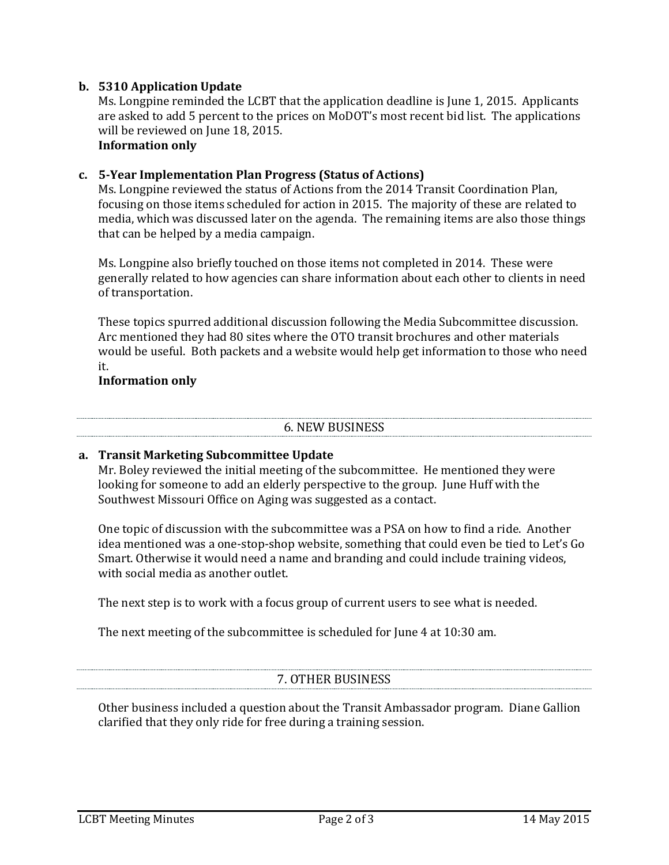## **b. 5310 Application Update**

Ms. Longpine reminded the LCBT that the application deadline is June 1, 2015. Applicants are asked to add 5 percent to the prices on MoDOT's most recent bid list. The applications will be reviewed on June 18, 2015. **Information only**

**c. 5-Year Implementation Plan Progress (Status of Actions)** Ms. Longpine reviewed the status of Actions from the 2014 Transit Coordination Plan, focusing on those items scheduled for action in 2015. The majority of these are related to media, which was discussed later on the agenda. The remaining items are also those things that can be helped by a media campaign.

Ms. Longpine also briefly touched on those items not completed in 2014. These were generally related to how agencies can share information about each other to clients in need of transportation.

These topics spurred additional discussion following the Media Subcommittee discussion. Arc mentioned they had 80 sites where the OTO transit brochures and other materials would be useful. Both packets and a website would help get information to those who need it.

## **Information only**

#### 6. NEW BUSINESS

## **a. Transit Marketing Subcommittee Update**

Mr. Boley reviewed the initial meeting of the subcommittee. He mentioned they were looking for someone to add an elderly perspective to the group. June Huff with the Southwest Missouri Office on Aging was suggested as a contact.

One topic of discussion with the subcommittee was a PSA on how to find a ride. Another idea mentioned was a one-stop-shop website, something that could even be tied to Let's Go Smart. Otherwise it would need a name and branding and could include training videos, with social media as another outlet.

The next step is to work with a focus group of current users to see what is needed.

The next meeting of the subcommittee is scheduled for June 4 at 10:30 am.

# 7. OTHER BUSINESS

Other business included a question about the Transit Ambassador program. Diane Gallion clarified that they only ride for free during a training session.